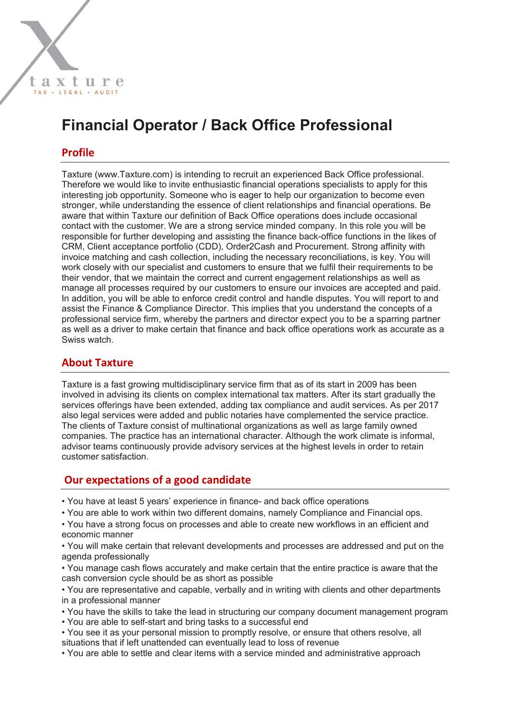# **Financial Operator / Back Office Professional**

### **Profile**

Taxture (www.Taxture.com) is intending to recruit an experienced Back Office professional. Therefore we would like to invite enthusiastic financial operations specialists to apply for this interesting job opportunity. Someone who is eager to help our organization to become even stronger, while understanding the essence of client relationships and financial operations. Be aware that within Taxture our definition of Back Office operations does include occasional contact with the customer. We are a strong service minded company. In this role you will be responsible for further developing and assisting the finance back-office functions in the likes of CRM, Client acceptance portfolio (CDD), Order2Cash and Procurement. Strong affinity with invoice matching and cash collection, including the necessary reconciliations, is key. You will work closely with our specialist and customers to ensure that we fulfil their requirements to be their vendor, that we maintain the correct and current engagement relationships as well as manage all processes required by our customers to ensure our invoices are accepted and paid. In addition, you will be able to enforce credit control and handle disputes. You will report to and assist the Finance & Compliance Director. This implies that you understand the concepts of a professional service firm, whereby the partners and director expect you to be a sparring partner as well as a driver to make certain that finance and back office operations work as accurate as a Swiss watch.

#### **About Taxture**

Taxture is a fast growing multidisciplinary service firm that as of its start in 2009 has been involved in advising its clients on complex international tax matters. After its start gradually the services offerings have been extended, adding tax compliance and audit services. As per 2017 also legal services were added and public notaries have complemented the service practice. The clients of Taxture consist of multinational organizations as well as large family owned companies. The practice has an international character. Although the work climate is informal, advisor teams continuously provide advisory services at the highest levels in order to retain customer satisfaction.

#### **Our expectations of a good candidate**

- You have at least 5 years' experience in finance- and back office operations
- You are able to work within two different domains, namely Compliance and Financial ops.
- You have a strong focus on processes and able to create new workflows in an efficient and economic manner

• You will make certain that relevant developments and processes are addressed and put on the agenda professionally

• You manage cash flows accurately and make certain that the entire practice is aware that the cash conversion cycle should be as short as possible

• You are representative and capable, verbally and in writing with clients and other departments in a professional manner

- You have the skills to take the lead in structuring our company document management program
- You are able to self-start and bring tasks to a successful end

• You see it as your personal mission to promptly resolve, or ensure that others resolve, all situations that if left unattended can eventually lead to loss of revenue

• You are able to settle and clear items with a service minded and administrative approach